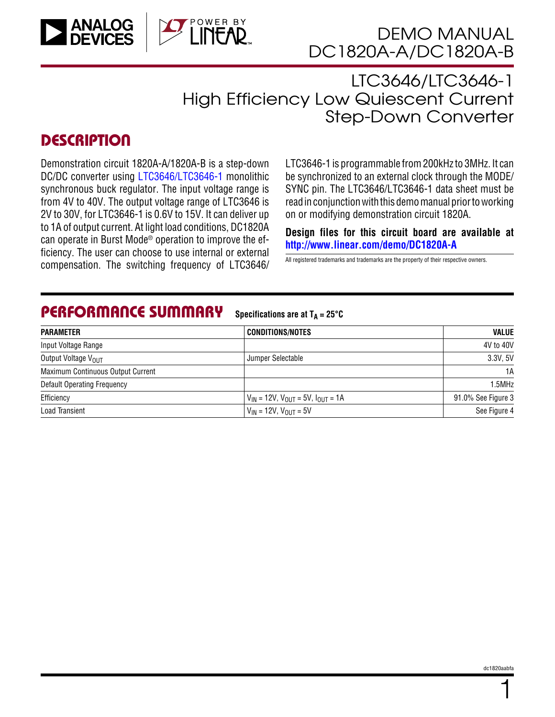

LTC3646/LTC3646-1 High Efficiency Low Quiescent Current Step-Down Converter

## **DESCRIPTION**

Demonstration circuit 1820A-A/1820A-B is a step-down DC/DC converter using [LTC3646/LTC3646-1](http://www.linear.com/product/LTC3646) monolithic synchronous buck regulator. The input voltage range is from 4V to 40V. The output voltage range of LTC3646 is 2V to 30V, for LTC3646-1 is 0.6V to 15V. It can deliver up to 1A of output current. At light load conditions, DC1820A can operate in Burst Mode® operation to improve the efficiency. The user can choose to use internal or external nciency. The user carrieriouse to use internation externatively all registered trademarks and trademarks are the property of their respective owners.<br>Compensation. The switching frequency of LTC3646/

LTC3646-1 is programmable from 200kHz to 3MHz. It can be synchronized to an external clock through the MODE/ SYNC pin. The LTC3646/LTC3646-1 data sheet must be read in conjunction with this demomanual prior to working on or modifying demonstration circuit 1820A.

**Design files for this circuit board are available at <http://www.linear.com/demo/DC1820A-A>**

#### PERFORMANCE SUMMARY

**Specifications** are at  $T_A = 25^\circ C$ 

| <b>PARAMETER</b>                   | <b>CONDITIONS/NOTES</b>                        | <b>VALUE</b>       |
|------------------------------------|------------------------------------------------|--------------------|
| Input Voltage Range                |                                                | 4V to 40V          |
| Output Voltage V <sub>OUT</sub>    | Jumper Selectable                              | 3.3V, 5V           |
| Maximum Continuous Output Current  |                                                | 1A                 |
| <b>Default Operating Frequency</b> |                                                | 1.5MHz             |
| Efficiency                         | $V_{IN}$ = 12V, $V_{OUT}$ = 5V, $I_{OUT}$ = 1A | 91.0% See Figure 3 |
| Load Transient                     | $V_{IN}$ = 12V, $V_{OUT}$ = 5V                 | See Figure 4       |

1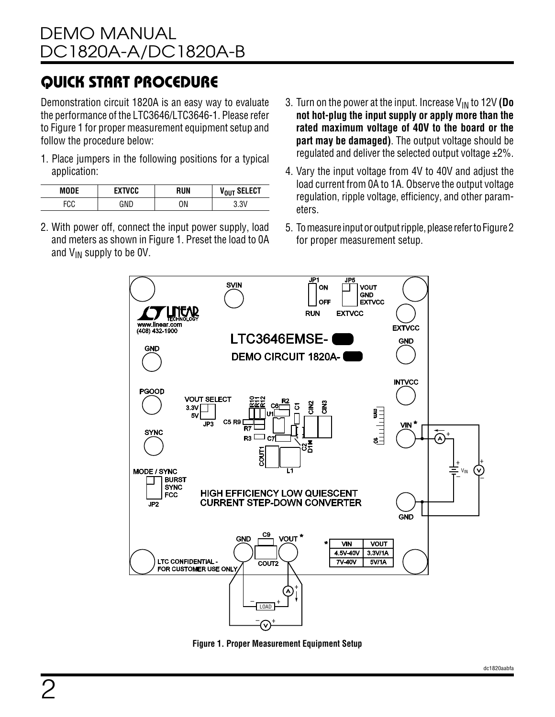# QUICK START PROCEDURE

Demonstration circuit 1820A is an easy way to evaluate the performance of the LTC3646/LTC3646-1. Please refer to Figure 1 for proper measurement equipment setup and follow the procedure below:

1. Place jumpers in the following positions for a typical application:

| <b>MODE</b> | <b>EXTVCC</b> | RUN | V <sub>OUT</sub> SELECT |
|-------------|---------------|-----|-------------------------|
| FCC<br>ั∪∪  | GNG           | ΟN  | 3.3\                    |

- 2. With power off, connect the input power supply, load and meters as shown in Figure 1. Preset the load to 0A and  $V_{IN}$  supply to be OV.
- 3. Turn on the power at the input. Increase VIN to 12V **(Do not hot-plug the input supply or apply more than the rated maximum voltage of 40V to the board or the part may be damaged)**. The output voltage should be regulated and deliver the selected output voltage  $\pm 2\%$ .
- 4. Vary the input voltage from 4V to 40V and adjust the load current from 0A to 1A. Observe the output voltage regulation, ripple voltage, efficiency, and other parameters.
- 5. Tomeasureinputoroutputripple, pleaserefertoFigure 2 for proper measurement setup.



**Figure 1. Proper Measurement Equipment Setup**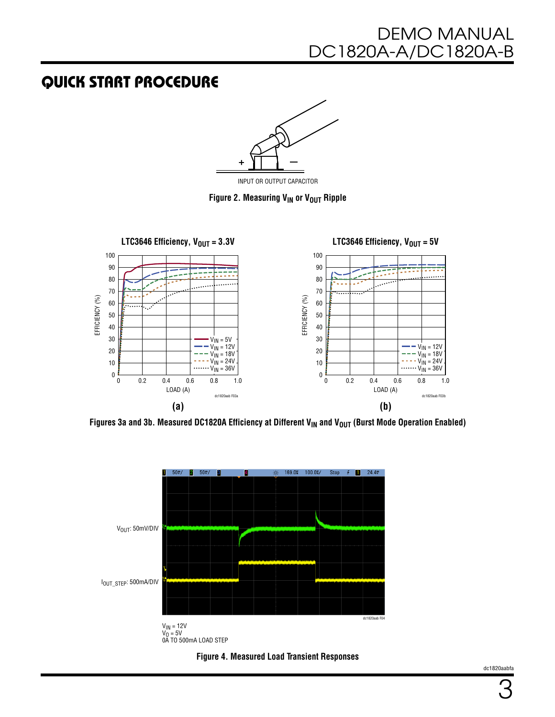## QUICK START PROCEDURE



INPUT OR OUTPUT CAPACITOR

**Figure 2. Measuring**  $V_{IN}$  **or**  $V_{OUT}$  **Ripple** 



**Figures 3a and 3b. Measured DC1820A Efficiency at Different V<sub>IN</sub> and V<sub>OUT</sub> (Burst Mode Operation Enabled)** 





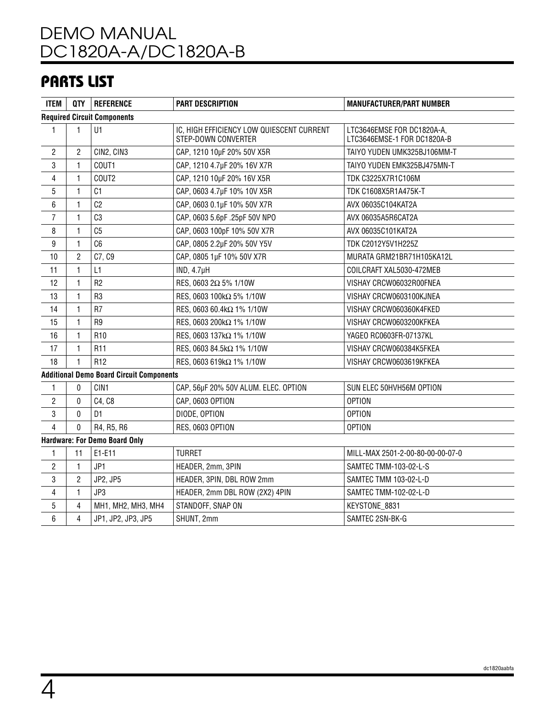## PARTS LIST

| <b>ITEM</b>    |                                    | QTY   REFERENCE                                 | <b>PART DESCRIPTION</b>                                          | <b>MANUFACTURER/PART NUMBER</b>                           |  |  |
|----------------|------------------------------------|-------------------------------------------------|------------------------------------------------------------------|-----------------------------------------------------------|--|--|
|                | <b>Required Circuit Components</b> |                                                 |                                                                  |                                                           |  |  |
| $\mathbf{1}$   | 1                                  | U1                                              | IC, HIGH EFFICIENCY LOW QUIESCENT CURRENT<br>STEP-DOWN CONVERTER | LTC3646EMSE FOR DC1820A-A,<br>LTC3646EMSE-1 FOR DC1820A-B |  |  |
| $\overline{2}$ | $\overline{2}$                     | CIN2, CIN3                                      | CAP, 1210 10µF 20% 50V X5R                                       | TAIYO YUDEN UMK325BJ106MM-T                               |  |  |
| 3              | 1                                  | COUT1                                           | CAP, 1210 4.7µF 20% 16V X7R                                      | TAIYO YUDEN EMK325BJ475MN-T                               |  |  |
| $\overline{4}$ | 1                                  | COUT2                                           | CAP, 1210 10µF 20% 16V X5R                                       | TDK C3225X7R1C106M                                        |  |  |
| $\overline{5}$ | 1                                  | C <sub>1</sub>                                  | CAP, 0603 4.7µF 10% 10V X5R                                      | TDK C1608X5R1A475K-T                                      |  |  |
| 6              | 1                                  | C <sub>2</sub>                                  | CAP, 0603 0.1µF 10% 50V X7R                                      | AVX 06035C104KAT2A                                        |  |  |
| $\overline{7}$ | 1                                  | C <sub>3</sub>                                  | CAP, 0603 5.6pF .25pF 50V NPO                                    | AVX 06035A5R6CAT2A                                        |  |  |
| 8              | $\mathbf{1}$                       | C <sub>5</sub>                                  | CAP, 0603 100pF 10% 50V X7R                                      | AVX 06035C101KAT2A                                        |  |  |
| 9              | 1                                  | C6                                              | CAP, 0805 2.2µF 20% 50V Y5V                                      | TDK C2012Y5V1H225Z                                        |  |  |
| 10             | $\overline{2}$                     | C7, C9                                          | CAP, 0805 1µF 10% 50V X7R                                        | MURATA GRM21BR71H105KA12L                                 |  |  |
| 11             | 1                                  | L1                                              | IND, 4.7 <sub>µ</sub> H                                          | COILCRAFT XAL5030-472MEB                                  |  |  |
| 12             | 1                                  | R <sub>2</sub>                                  | RES, 0603 2Ω 5% 1/10W                                            | VISHAY CRCW06032R00FNEA                                   |  |  |
| 13             | 1                                  | R <sub>3</sub>                                  | RES, 0603 100kΩ 5% 1/10W                                         | VISHAY CRCW0603100KJNEA                                   |  |  |
| 14             | 1                                  | R <sub>7</sub>                                  | RES, 0603 60.4kΩ 1% 1/10W                                        | VISHAY CRCW060360K4FKED                                   |  |  |
| 15             | 1                                  | R <sub>9</sub>                                  | RES, 0603 200kΩ 1% 1/10W                                         | VISHAY CRCW0603200KFKEA                                   |  |  |
| 16             | 1                                  | R <sub>10</sub>                                 | RES, 0603 137kΩ 1% 1/10W                                         | YAGEO RC0603FR-07137KL                                    |  |  |
| 17             | 1                                  | R <sub>11</sub>                                 | RES, 0603 84.5kΩ 1% 1/10W                                        | VISHAY CRCW060384K5FKEA                                   |  |  |
| 18             | 1                                  | R <sub>12</sub>                                 | RES, 0603 619kΩ 1% 1/10W                                         | VISHAY CRCW0603619KFKEA                                   |  |  |
|                |                                    | <b>Additional Demo Board Circuit Components</b> |                                                                  |                                                           |  |  |
| $\mathbf{1}$   | $\Omega$                           | CIN1                                            | CAP, 56µF 20% 50V ALUM. ELEC. OPTION                             | SUN ELEC 50HVH56M OPTION                                  |  |  |
| $\overline{2}$ | $\mathbf{0}$                       | C4, C8                                          | CAP, 0603 OPTION                                                 | <b>OPTION</b>                                             |  |  |
| 3              | 0                                  | D <sub>1</sub>                                  | DIODE, OPTION                                                    | <b>OPTION</b>                                             |  |  |
| 4              | $\Omega$                           | R4, R5, R6                                      | RES, 0603 OPTION                                                 | <b>OPTION</b>                                             |  |  |
|                |                                    | <b>Hardware: For Demo Board Only</b>            |                                                                  |                                                           |  |  |
| $\mathbf{1}$   | 11                                 | E1-E11                                          | <b>TURRET</b>                                                    | MILL-MAX 2501-2-00-80-00-00-07-0                          |  |  |
| $\mathbf{2}$   | 1                                  | JP1                                             | HEADER, 2mm, 3PIN                                                | SAMTEC TMM-103-02-L-S                                     |  |  |
| 3              | $\overline{2}$                     | JP2, JP5                                        | HEADER, 3PIN, DBL ROW 2mm                                        | SAMTEC TMM 103-02-L-D                                     |  |  |
| $\overline{4}$ | 1                                  | JP3                                             | HEADER, 2mm DBL ROW (2X2) 4PIN                                   | SAMTEC TMM-102-02-L-D                                     |  |  |
| $5\,$          | 4                                  | MH1, MH2, MH3, MH4                              | STANDOFF, SNAP ON                                                | KEYSTONE_8831                                             |  |  |
| 6              | 4                                  | JP1, JP2, JP3, JP5                              | SHUNT, 2mm                                                       | SAMTEC 2SN-BK-G                                           |  |  |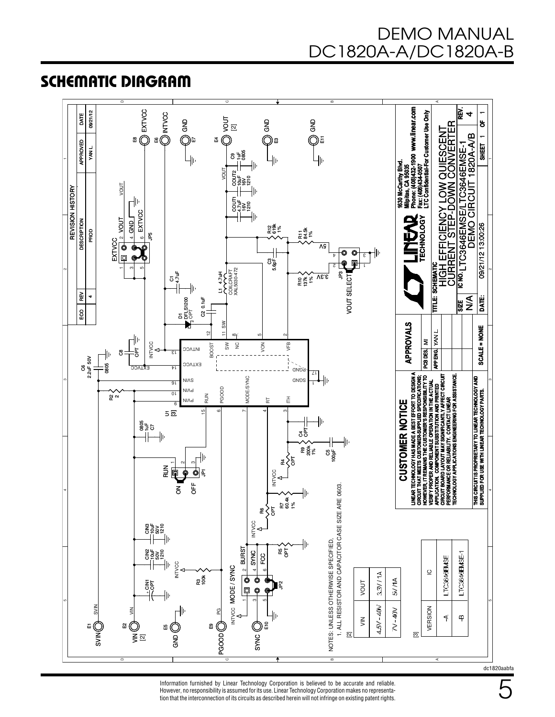SCHEMATIC DIAGRAM



Information furnished by Linear Technology Corporation is believed to be accurate and reliable. However, no responsibility is assumed for its use. Linear Technology Corporation makes no representation that the interconnection of its circuits as described herein will not infringe on existing patent rights.